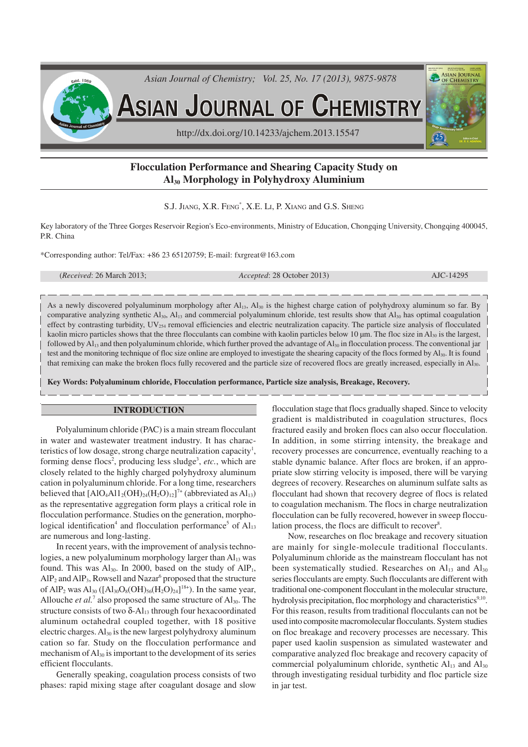

# **Flocculation Performance and Shearing Capacity Study on Al30 Morphology in Polyhydroxy Aluminium**

S.J. JIANG, X.R. FENG\* , X.E. LI, P. XIANG and G.S. SHENG

Key laboratory of the Three Gorges Reservoir Region's Eco-environments, Ministry of Education, Chongqing University, Chongqing 400045, P.R. China

\*Corresponding author: Tel/Fax: +86 23 65120759; E-mail: fxrgreat@163.com

| ( <i>Received</i> : $26$ March $2013$ ; |  |  |  |
|-----------------------------------------|--|--|--|
|-----------------------------------------|--|--|--|

(*Received*: 26 March 2013; *Accepted*: 28 October 2013) AJC-14295

As a newly discovered polyaluminum morphology after Al<sub>13</sub>, Al<sub>30</sub> is the highest charge cation of polyhydroxy aluminum so far. By comparative analyzing synthetic  $Al_{30}$ ,  $Al_{13}$  and commercial polyaluminum chloride, test results show that  $Al_{30}$  has optimal coagulation effect by contrasting turbidity, UV254 removal efficiencies and electric neutralization capacity. The particle size analysis of flocculated kaolin micro particles shows that the three flocculants can combine with kaolin particles below 10  $\mu$ m. The floc size in Al<sub>30</sub> is the largest, followed by  $Al_{13}$  and then polyaluminum chloride, which further proved the advantage of  $Al_{30}$  in flocculation process. The conventional jar test and the monitoring technique of floc size online are employed to investigate the shearing capacity of the flocs formed by Al<sub>30</sub>. It is found that remixing can make the broken flocs fully recovered and the particle size of recovered flocs are greatly increased, especially in Al30.

**Key Words: Polyaluminum chloride, Flocculation performance, Particle size analysis, Breakage, Recovery.**

#### **INTRODUCTION**

Polyaluminum chloride (PAC) is a main stream flocculant in water and wastewater treatment industry. It has characteristics of low dosage, strong charge neutralization capacity<sup>1</sup>, forming dense flocs<sup>2</sup>, producing less sludge<sup>3</sup>, etc., which are closely related to the highly charged polyhydroxy aluminum cation in polyaluminum chloride. For a long time, researchers believed that  $[AIO_4Al1_2(OH)_{24}(H_2O)_{12}]^{\tau+}$  (abbreviated as  $Al_{13}$ ) as the representative aggregation form plays a critical role in flocculation performance. Studies on the generation, morphological identification<sup>4</sup> and flocculation performance<sup>5</sup> of  $Al_{13}$ are numerous and long-lasting.

In recent years, with the improvement of analysis technologies, a new polyaluminum morphology larger than  $Al<sub>13</sub>$  was found. This was  $Al_{30}$ . In 2000, based on the study of  $AlP_1$ ,  $AIP_2$  and  $AIP_3$ , Rowsell and Nazar<sup>6</sup> proposed that the structure of AlP<sub>2</sub> was Al<sub>30</sub> ([Al<sub>30</sub>O<sub>8</sub>(OH)<sub>56</sub>(H<sub>2</sub>O)<sub>24</sub>]<sup>18+</sup>). In the same year, Allouche *et al.*<sup>7</sup> also proposed the same structure of  $Al_{30}$ . The structure consists of two  $\delta$ -Al<sub>13</sub> through four hexacoordinated aluminum octahedral coupled together, with 18 positive electric charges.  $Al_{30}$  is the new largest polyhydroxy aluminum cation so far. Study on the flocculation performance and mechanism of  $Al_{30}$  is important to the development of its series efficient flocculants.

Generally speaking, coagulation process consists of two phases: rapid mixing stage after coagulant dosage and slow

flocculation stage that flocs gradually shaped. Since to velocity gradient is maldistributed in coagulation structures, flocs fractured easily and broken flocs can also occur flocculation. In addition, in some stirring intensity, the breakage and recovery processes are concurrence, eventually reaching to a stable dynamic balance. After flocs are broken, if an appropriate slow stirring velocity is imposed, there will be varying degrees of recovery. Researches on aluminum sulfate salts as flocculant had shown that recovery degree of flocs is related to coagulation mechanism. The flocs in charge neutralization flocculation can be fully recovered, however in sweep flocculation process, the flocs are difficult to recover<sup>8</sup>.

Now, researches on floc breakage and recovery situation are mainly for single-molecule traditional flocculants. Polyaluminum chloride as the mainstream flocculant has not been systematically studied. Researches on  $Al<sub>13</sub>$  and  $Al<sub>30</sub>$ series flocculants are empty. Such flocculants are different with traditional one-component flocculant in the molecular structure, hydrolysis precipitation, floc morphology and characteristics<sup>9,10</sup>. For this reason, results from traditional flocculants can not be used into composite macromolecular flocculants. System studies on floc breakage and recovery processes are necessary. This paper used kaolin suspension as simulated wastewater and comparative analyzed floc breakage and recovery capacity of commercial polyaluminum chloride, synthetic  $Al<sub>13</sub>$  and  $Al<sub>30</sub>$ through investigating residual turbidity and floc particle size in jar test.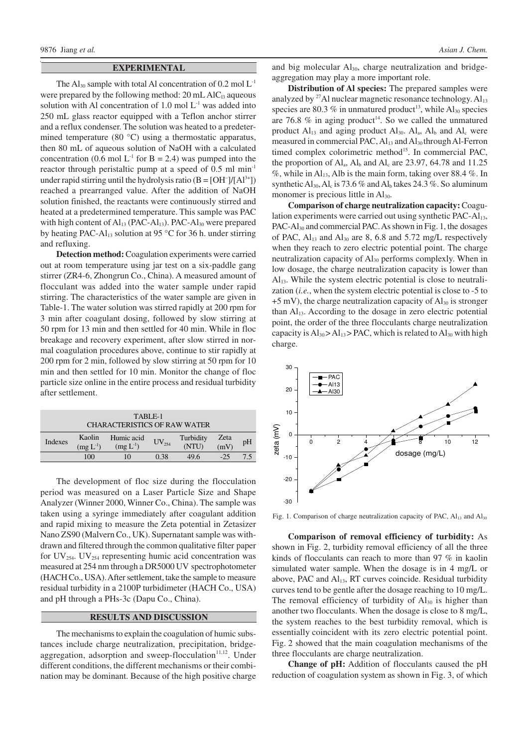## **EXPERIMENTAL**

The  $Al_{30}$  sample with total Al concentration of 0.2 mol  $L^{-1}$ were prepared by the following method:  $20 \text{ mL } AIC<sub>13</sub>$  aqueous solution with Al concentration of  $1.0 \text{ mol } L^{-1}$  was added into 250 mL glass reactor equipped with a Teflon anchor stirrer and a reflux condenser. The solution was heated to a predetermined temperature (80 °C) using a thermostatic apparatus, then 80 mL of aqueous solution of NaOH with a calculated concentration (0.6 mol  $L^{-1}$  for B = 2.4) was pumped into the reactor through peristaltic pump at a speed of 0.5 ml min-1 under rapid stirring until the hydrolysis ratio  $(B = [OH^-]/[Al^{3+}])$ reached a prearranged value. After the addition of NaOH solution finished, the reactants were continuously stirred and heated at a predetermined temperature. This sample was PAC with high content of  $Al_{13}$  (PAC- $Al_{13}$ ). PAC- $Al_{30}$  were prepared by heating PAC-Al<sub>13</sub> solution at 95 °C for 36 h. under stirring and refluxing.

**Detection method:** Coagulation experiments were carried out at room temperature using jar test on a six-paddle gang stirrer (ZR4-6, Zhongrun Co., China). A measured amount of flocculant was added into the water sample under rapid stirring. The characteristics of the water sample are given in Table-1. The water solution was stirred rapidly at 200 rpm for 3 min after coagulant dosing, followed by slow stirring at 50 rpm for 13 min and then settled for 40 min. While in floc breakage and recovery experiment, after slow stirred in normal coagulation procedures above, continue to stir rapidly at 200 rpm for 2 min, followed by slow stirring at 50 rpm for 10 min and then settled for 10 min. Monitor the change of floc particle size online in the entire process and residual turbidity after settlement.

| TABLE-1<br><b>CHARACTERISTICS OF RAW WATER</b> |                         |                             |            |                    |              |    |
|------------------------------------------------|-------------------------|-----------------------------|------------|--------------------|--------------|----|
| Indexes                                        | Kaolin<br>$(mg L^{-1})$ | Humic acid<br>$(mg L^{-1})$ | $UV_{254}$ | Turbidity<br>(NTU) | Zeta<br>(mV) | pH |
|                                                | 100                     | 10                          | 0.38       | 49.6               | $-25$        | 75 |

The development of floc size during the flocculation period was measured on a Laser Particle Size and Shape Analyzer (Winner 2000, Winner Co., China). The sample was taken using a syringe immediately after coagulant addition and rapid mixing to measure the Zeta potential in Zetasizer Nano ZS90 (Malvern Co., UK). Supernatant sample was withdrawn and filtered through the common qualitative filter paper for  $UV_{254}$ . UV<sub>254</sub> representing humic acid concentration was measured at 254 nm through a DR5000 UV spectrophotometer (HACH Co., USA). After settlement, take the sample to measure residual turbidity in a 2100P turbidimeter (HACH Co., USA) and pH through a PHs-3c (Dapu Co., China).

#### **RESULTS AND DISCUSSION**

The mechanisms to explain the coagulation of humic substances include charge neutralization, precipitation, bridgeaggregation, adsorption and sweep-flocculation<sup>11,12</sup>. Under different conditions, the different mechanisms or their combination may be dominant. Because of the high positive charge and big molecular  $Al_{30}$ , charge neutralization and bridgeaggregation may play a more important role.

**Distribution of Al species:** The prepared samples were analyzed by  $^{27}$ Al nuclear magnetic resonance technology.  $Al_{13}$ species are 80.3  $%$  in unmatured product<sup>13</sup>, while  $Al_{30}$  species are 76.8  $%$  in aging product<sup>14</sup>. So we called the unmatured product  $Al_{13}$  and aging product  $Al_{30}$ .  $Al_{a}$ ,  $Al_{b}$  and  $Al_{c}$  were measured in commercial PAC,  $Al_{13}$  and  $Al_{30}$  through Al-Ferron timed complex colorimetric method<sup>15</sup>. In commercial PAC, the proportion of  $Al<sub>a</sub>$ ,  $Al<sub>b</sub>$  and  $Al<sub>c</sub>$  are 23.97, 64.78 and 11.25  $\%$ , while in Al<sub>13</sub>, Alb is the main form, taking over 88.4  $\%$ . In synthetic  $Al_{30}$ ,  $Al_c$  is 73.6 % and  $Al_b$  takes 24.3 %. So aluminum monomer is precious little in  $Al<sub>30</sub>$ .

**Comparison of charge neutralization capacity:** Coagulation experiments were carried out using synthetic  $PAC-AI_{13}$ , PAC-Al<sub>30</sub> and commercial PAC. As shown in Fig. 1, the dosages of PAC,  $Al_{13}$  and  $Al_{30}$  are 8, 6.8 and 5.72 mg/L respectively when they reach to zero electric potential point. The charge neutralization capacity of Al<sub>30</sub> performs complexly. When in low dosage, the charge neutralization capacity is lower than  $Al<sub>13</sub>$ . While the system electric potential is close to neutralization (*i.e.*, when the system electric potential is close to -5 to  $+5$  mV), the charge neutralization capacity of  $Al_{30}$  is stronger than Al<sub>13</sub>. According to the dosage in zero electric potential point, the order of the three flocculants charge neutralization capacity is  $Al_{30} > Al_{13} > PAC$ , which is related to  $Al_{30}$  with high charge.



Fig. 1. Comparison of charge neutralization capacity of PAC, Al13 and Al30

**Comparison of removal efficiency of turbidity:** As shown in Fig. 2, turbidity removal efficiency of all the three kinds of flocculants can reach to more than 97 % in kaolin simulated water sample. When the dosage is in 4 mg/L or above, PAC and  $Al<sub>13</sub>$ , RT curves coincide. Residual turbidity curves tend to be gentle after the dosage reaching to 10 mg/L. The removal efficiency of turbidity of  $Al_{30}$  is higher than another two flocculants. When the dosage is close to 8 mg/L, the system reaches to the best turbidity removal, which is essentially coincident with its zero electric potential point. Fig. 2 showed that the main coagulation mechanisms of the three flocculants are charge neutralization.

**Change of pH:** Addition of flocculants caused the pH reduction of coagulation system as shown in Fig. 3, of which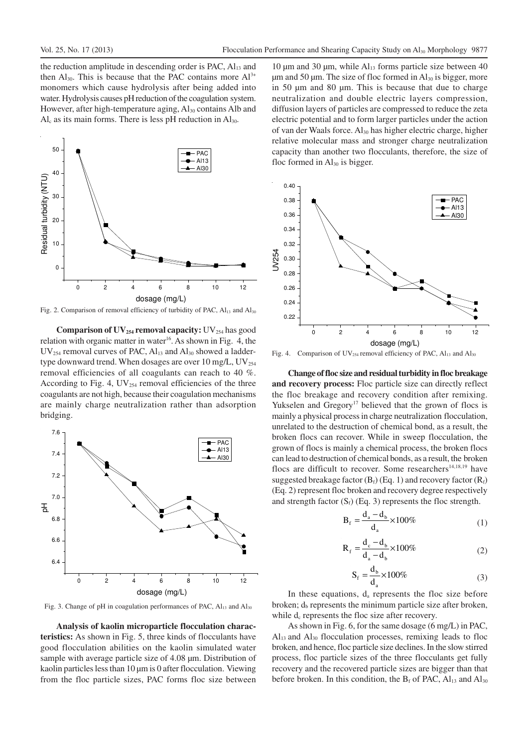the reduction amplitude in descending order is PAC,  $Al<sub>13</sub>$  and then  $Al_{30}$ . This is because that the PAC contains more  $Al^{3+}$ monomers which cause hydrolysis after being added into water. Hydrolysis causes pH reduction of the coagulation system. However, after high-temperature aging,  $Al_{30}$  contains Alb and  $Al<sub>c</sub>$  as its main forms. There is less pH reduction in  $Al<sub>30</sub>$ .



Fig. 2. Comparison of removal efficiency of turbidity of PAC,  $Al<sub>13</sub>$  and  $Al<sub>30</sub>$ 

**Comparison of UV254 removal capacity:** UV254 has good relation with organic matter in water<sup>16</sup>. As shown in Fig. 4, the  $UV_{254}$  removal curves of PAC,  $Al_{13}$  and  $Al_{30}$  showed a laddertype downward trend. When dosages are over 10 mg/L,  $UV_{254}$ removal efficiencies of all coagulants can reach to 40 %. According to Fig. 4,  $UV_{254}$  removal efficiencies of the three coagulants are not high, because their coagulation mechanisms are mainly charge neutralization rather than adsorption bridging.



Fig. 3. Change of pH in coagulation performances of PAC, Al<sub>13</sub> and Al<sub>30</sub>

**Analysis of kaolin microparticle flocculation characteristics:** As shown in Fig. 5, three kinds of flocculants have good flocculation abilities on the kaolin simulated water sample with average particle size of 4.08  $\mu$ m. Distribution of kaolin particles less than 10 µm is 0 after flocculation. Viewing from the floc particle sizes, PAC forms floc size between

10  $\mu$ m and 30  $\mu$ m, while Al<sub>13</sub> forms particle size between 40 um and 50 um. The size of floc formed in  $Al_{30}$  is bigger, more in 50 µm and 80 µm. This is because that due to charge neutralization and double electric layers compression, diffusion layers of particles are compressed to reduce the zeta electric potential and to form larger particles under the action of van der Waals force. Al30 has higher electric charge, higher relative molecular mass and stronger charge neutralization capacity than another two flocculants, therefore, the size of floc formed in  $Al_{30}$  is bigger.



Fig. 4. Comparison of  $UV_{254}$  removal efficiency of PAC,  $Al_{13}$  and  $Al_{30}$ 

**Change of floc size and residual turbidity in floc breakage and recovery process:** Floc particle size can directly reflect the floc breakage and recovery condition after remixing. Yukselen and Gregory<sup>17</sup> believed that the grown of flocs is mainly a physical process in charge neutralization flocculation, unrelated to the destruction of chemical bond, as a result, the broken flocs can recover. While in sweep flocculation, the grown of flocs is mainly a chemical process, the broken flocs can lead to destruction of chemical bonds, as a result, the broken flocs are difficult to recover. Some researchers<sup>14,18,19</sup> have suggested breakage factor  $(B_f)$  (Eq. 1) and recovery factor  $(R_f)$ (Eq. 2) represent floc broken and recovery degree respectively and strength factor  $(S_f)$  (Eq. 3) represents the floc strength.

$$
B_f = \frac{d_a - d_b}{d_a} \times 100\% \tag{1}
$$

$$
R_{f} = \frac{d_{c} - d_{b}}{d_{a} - d_{b}} \times 100\%
$$
 (2)

$$
S_f = \frac{d_b}{d_a} \times 100\%
$$
 (3)

In these equations,  $d_a$  represents the floc size before broken;  $d_b$  represents the minimum particle size after broken, while  $d_c$  represents the floc size after recovery.

As shown in Fig. 6, for the same dosage (6 mg/L) in PAC,  $Al<sub>13</sub>$  and  $Al<sub>30</sub>$  flocculation processes, remixing leads to floc broken, and hence, floc particle size declines. In the slow stirred process, floc particle sizes of the three flocculants get fully recovery and the recovered particle sizes are bigger than that before broken. In this condition, the  $B_f$  of PAC,  $Al_{13}$  and  $Al_{30}$